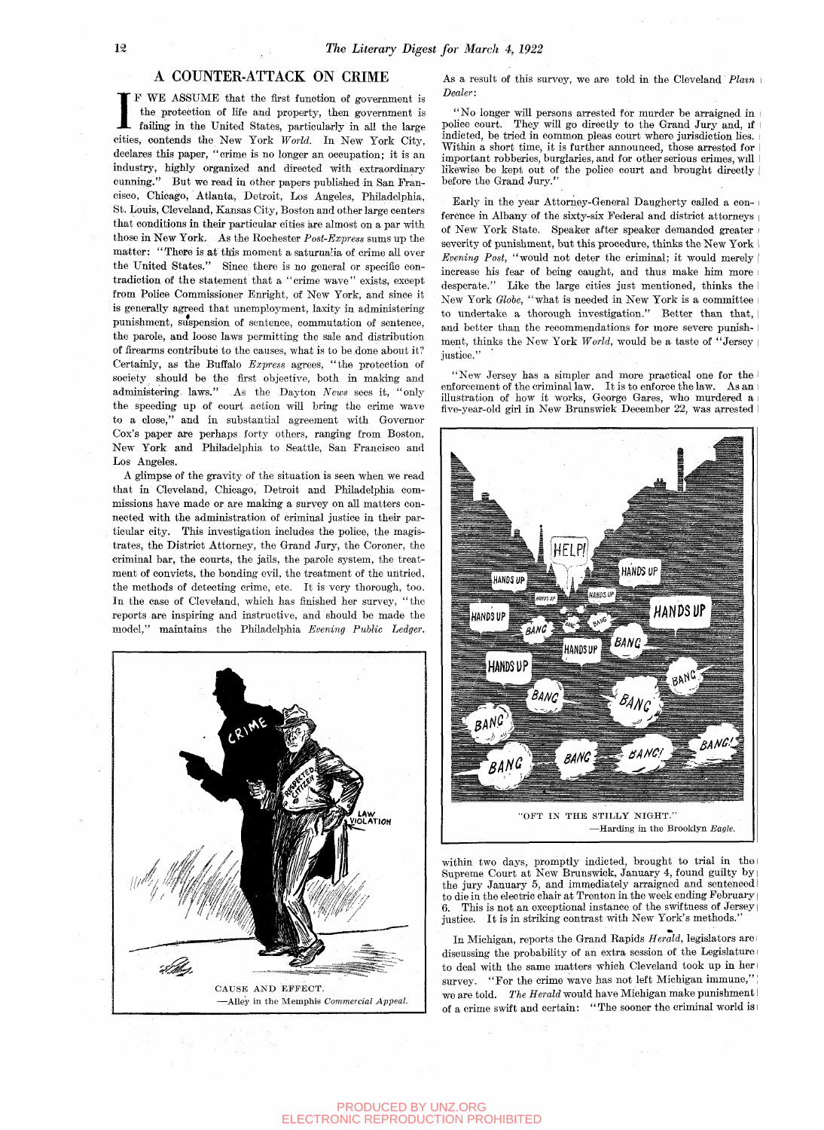## A COUNTER-ATTACK ON CRIME

IF WE ASSUME that the first function of government is the protection of life and property, then government is failing in the United States, particularly in all the large cities, contends the New York *World*. In New York C F WE ASSUME that the first funotion of government is the protection of life and property, then government is failing in the United States, particularly in all the large declares this paper, "crime is no longer an occupation; it is an industry, highly organized and directed with extraordinary cunning." But we read in other papers published in San Francisco, Chicago, Atlanta, Detroit, Los Angeles, Philadelphia, St. Louis, Cleveland, Kansas City, Boston and other large centers that conditions in their particular cities are almost on a par with those in New York. As the Rochester *Post-Express* sums up the matter: "There is at this moment a saturnalia of crime all over the United States." Since there is no general or specific contradiction of the statement that a "crime wave" exists, except from Police Commissioner Enright, of New York, and since it is generally agreed that unemployment, laxity in administering punishment, suspension of sentence, commutation of sentence, the parole, and loose laws permitting the sale and distribution of firearms contribute to the causes, what is to be done about it? Certainly, as the Buffalo *Express* agrees, "the protection of society should be the first objective, both in making and administering laws." As the Dayton *News* sees it, "only the speeding up of court action wiU bring the crime wave to a close," and in substantial agreement with Governor Cox's paper are perhaps forty others, ranging from Boston, New York and Philadelphia to Seattle, San Francisco and Los Angeles.

A glimpse of the gravity of the situation is seen when we read that in Cleveland, Chicago, Detroit and Philadelphia commissions have made or are making a survey on all matters connected with the administration of criminal justice in their particular city. This investigation includes the police, the magistrates, the District Attorney, the Grand Jury, the Coroner, the criminal bar, the courts, the jails, the parole system, the treatment of convicts, the bonding evil, the treatment of the untried, the methods of detecting crime, etc. It is very thorough, too. In the case of Cleveland, which has finished her survey, "the reports are inspiring and instructive, and should be made the model," maintains the Philadelphia *Evening Public Ledger.* 



As a result of this survey, we are told in the Cleveland *Plmn Dealer*:

"No longer will persons arrested for murder be arraigned in police court. They will go directly to the Grand Jury and, if indicted, be tried in common pleas court where jurisdiction hes. Within a short time, it is further announced, those arrested for i important robberies, burglaries, and for other serious crimes, will likewise be kept out of the police court and brought directly before the Grand Jury."

Early in the year Attorney-General Daugherty called a conference in Albany of the sixty-six Federal and district attorneys of New York State. Speaker after speaker demanded greater severity of punishment, but this procedure, thinks the New York *Evening Post,* "would not deter the criminal; it would merely | increase his fear of being canght, and thus make him more i desperate." Like the large cities just mentioned, thinks the New York *Olobe,* "what is needed in New York is a committee to undertake a thorough investigation." Better than that, and better than the recommendations for more severe punish- I ment, thinks the New York *World,* would be a taste of "Jersey | justice."

"New Jersey has a simpler and more practical one for the I enforcement of the criminal law. It is to enforce the law. As an illustration of how it works, George Gares, who murdered a five-year-old girl in New Brunswick December 22, was arrested



within two days, promptly indicted, brought to trial in the Supreme Court at New Brunswick, January 4, found guilty by the jury January 5, and immediately arraigned and sentenced to die in the electric chair at Trenton in the week ending February This is not an exceptional instance of the swiftness of Jersey It is in striking contrast with New York's methods.'

In Michigan, reports the Grand Rapids *Herald,* legislators are discussing the probability of an extra session of the Legislature to deal with the same matters which Cleveland took up in her survey. "For the crime wave has not left Michigan immune," we are told. *The Herald* would have Michigan make punishment of a crime swift and certain: "The sooner the criminal world is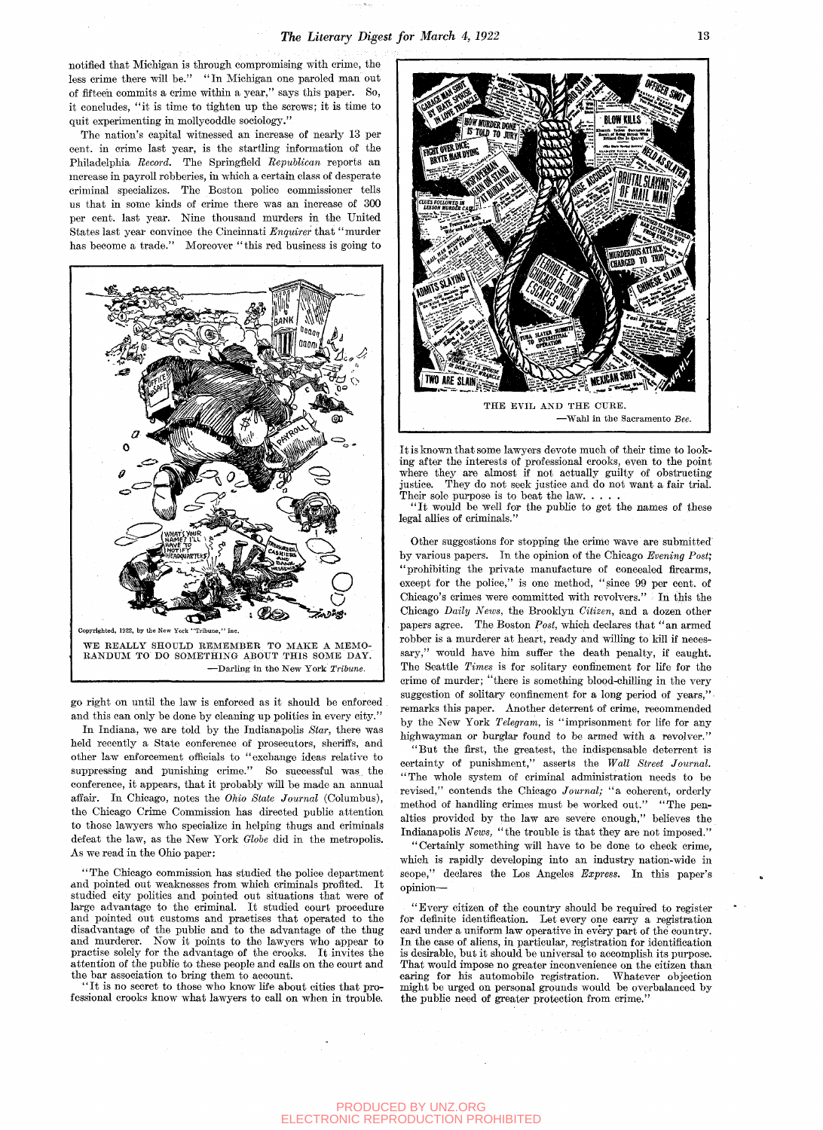notified that Michigan is through compromising with crime, the less crime there will be." "In Michigan one paroled man out of fifteen commits a crime within a year," says this paper. So, it concludes, "it is time to tighten up the screws; it is time to quit experimenting in mollycoddle sociology."

The nation's capital witnessed an increase of nearly 13 per cent, in crime last year, is the startling information of the Philadelphia *Record.* The Springfield *Republican* reports an increase in payroll robberies, in which a certain class of desperate criminal specializes. The Boston police commissioner tells us that in some kinds of crime there was an increase of 300 per cent, last year. Nine thousand murders in the United States last year convince the Cincinnati *Enquirer* that "murder has become a trade." Moreover "this red business is going to



*go* right on until the law is enforced as it should be enforced . and this can only be done by cleaning up politics in every city."

In Indiana, we are told by the Indianapolis *Star,* there was held recently a State conference of prosecutors, sheriffs, and other law enforcement officials to "exchange ideas relative to suppressing and punishing crime." So successful was the conference, it appears, that it probably will be made an annual affair. In Chicago, notes the *Ohio State Journal* (Columbus), the Chicago Crime Commission has directed public attention to those lawyers who specialize in helping thugs and criminals defeat the law, as the New York *Olobe* did in the metropolis. As we read in the Ohio paper:

"The Chicago commission has studied the police department and pointed out weaknesses from which criminals profited. It studied city politics and pointed out situations that were of large advantage to the criminal. It studied court procedure and pointed out customs and practises that operated to the disadvantage of the public and to the advantage of the thug and murderer. Now it points to the lawyers who appear to practise solely for the advantage of the crooks. It invites the attention of the public to these people and calls on the court and the bar association to bring them to account.

" It is no secret to those who know life about cities that professional crooks know what lawyers to call on when in trouble.



It is known that some lawyers devote much of their time to looking after the interests of professional crooks, even to the point where they are almost if not actually guilty of obstructing justice. They do not seek justice and do not want a fair trial. Their sole purpose is to beat the law...

" It would be well for the public to get the names of these legal allies of criminals.

Other suggestions for stopping the crime wave are submitted' by various papers. In the opinion of the Chicago *Evening Post;*  "prohibiting the private manufacture of concealed firearms, except for the police," is one method, "since 99 per cent, of Chicago's crimes were committed with revolvers." In this the Chicago *Daily News,* the Brooklyn *Citizen,* and a dozen other papers agree. The Boston *Post,* which declares that "an armed robber is a murderer at heart, ready and willing to kill if necessary," would have him suffer the death penalty, if caught. The Seattle Times is for solitary confinement for life for the crime of murder; "there is something blood-chiUing in the very suggestion of solitary confinement for a long period of years," remarks this paper. Another deterrent of crime, recommended by the New York *Telegram,* is "imprisonment for life for any highwayman or burglar found to be armed with a revolver."

"But the first, the greatest, the indispensable deterrent is certainty of punishment," asserts the *Wall Street Journal.*  "The whole system of criminal administration needs to be revised," contends the Chicago Journal; "a coherent, orderly method of handling crimes must be worked out." "The penalties provided by the law are severe enough," believes the Indianapolis *News,* "the trouble is that they are not imposed."

"Certainly something will have to be done to cheek crime, which is rapidly developing into an industry nation-wide in scope," declares the Los Angeles *Express.* In this paper's opinion—

"Every citizen of the country should be required to register for definite identification. Let every one carry a registration card under a uniform law operative in every part of the country. In the case of aliens, in particular, registration for identification is desirable, but it should be universal to accomplish its purpose. That would impose no greater inconvenience on the citizen than caring for his automobile registration. Whatever objection might be urged on personal grounds would be overbalanced by the public need of greater protection from crime."